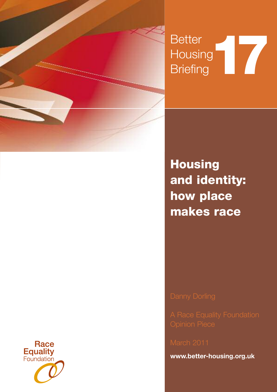



**Housing and identity: how place makes race**

**[www.better-housing.org.uk](http://www.insidehousing.co.uk/ihstory.aspx?storycode=6509577)**

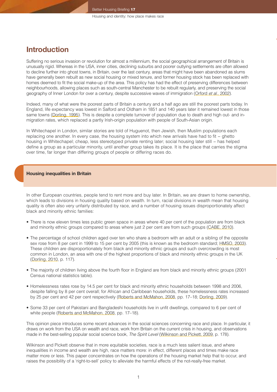# **Introduction**

Suffering no serious invasion or revolution for almost a millennium, the social geographical arrangement of Britain is unusually rigid. Whereas in the USA, inner cities, declining suburbs and poorer outlying settlements are often allowed to decline further into ghost towns, in Britain, over the last century, areas that might have been abandoned as slums have generally been rebuilt as new social housing or mixed tenure, and former housing stock has been replaced with homes deemed to fit the social make-up of the area. This policy has had the effect of preserving differences between neighbourhoods, allowing places such as south-central Manchester to be rebuilt regularly, and preserving the social geography of Inner London for over a century, despite successive waves of immigration (Orford *et al*., 2002).

Indeed, many of what were the poorest parts of Britain a century and a half ago are still the poorest parts today. In England, life expectancy was lowest in Salford and Oldham in 1851 and 140 years later it remained lowest in those same towns (Dorling, 1995). This is despite a complete turnover of population due to death and high out- and inmigration rates, which replaced a partly Irish-origin population with people of South-Asian origin.

In Whitechapel in London, similar stories are told of Huguenot, then Jewish, then Muslim populations each replacing one another. In every case, the housing system into which new arrivals have had to fit − ghetto housing in Whitechapel; cheap, less stereotyped private renting later; social housing later still − has helped define a group as a particular minority, until another group takes its place. It is the place that carries the stigma over time, far longer than differing groups of people or differing races do.

### **Housing inequalities in Britain**

In other European countries, people tend to rent more and buy later. In Britain, we are drawn to home ownership, which leads to divisions in housing quality based on wealth. In turn, racial divisions in wealth mean that housing quality is often also very unfairly distributed by race, and a number of housing issues disproportionately affect black and minority ethnic families:

- There is now eleven times less public green space in areas where 40 per cent of the population are from black and minority ethnic groups compared to areas where just 2 per cent are from such groups (CABE, 2010).
- The percentage of school children aged over ten who share a bedroom with an adult or a sibling of the opposite sex rose from 8 per cent in 1999 to 15 per cent by 2005 (this is known as the bedroom standard; HMSO, 2003). These children are disproportionately from black and minority ethnic groups and such overcrowding is most common in London, an area with one of the highest proportions of black and minority ethnic groups in the UK (Dorling, 2010, p. 117).
- The majority of children living above the fourth floor in England are from black and minority ethnic groups (2001 Census national statistics table).
- Homelessness rates rose by 14.5 per cent for black and minority ethnic households between 1998 and 2006, despite falling by 8 per cent overall; for African and Caribbean households, these homelessness rates increased by 25 per cent and 42 per cent respectively (Roberts and McMahon, 2008, pp. 17–18; Dorling, 2009).
- Some 33 per cent of Pakistani and Bangladeshi households live in unfit dwellings, compared to 6 per cent of white people (Roberts and McMahon, 2008, pp. 17-18).

This opinion piece introduces some recent advances in the social sciences concerning race and place. In particular, it draws on work from the USA on wealth and race, work from Britain on the current crisis in housing, and observations made in the best-selling popular social science book, *The Spirit Level* (Wilkinson and Pickett, 2009, p. 178).

Wilkinson and Pickett observe that in more equitable societies, race is a much less salient issue, and where inequalities in income and wealth are high, race matters more: in effect, different places and times make race matter more or less. This paper concentrates on how the operations of the housing market help that to occur, and raises the possibility of a 'right-to-sell' policy to alleviate the harmful effects of the not-really-free market.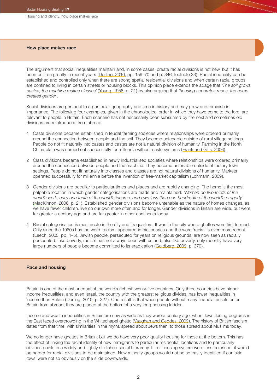Housing and identity: how place makes race

#### **How place makes race**

The argument that social inequalities maintain and, in some cases, create racial divisions is not new, but it has been built on greatly in recent years (Dorling, 2010, pp. 159–70 and p. 346, footnote 33). Racial inequality can be established and controlled only when there are strong spatial residential divisions and when certain racial groups are confined to living in certain streets or housing blocks. This opinion piece extends the adage that *'The soil grows castes; the machine makes classes'* (Young, 1958, p. 21) by also arguing that *'housing separates races, the home creates gender'*.

Social divisions are pertinent to a particular geography and time in history and may grow and diminish in importance. The following four examples, given in the chronological order in which they have come to the fore, are relevant to people in Britain. Each scenario has not necessarily been subsumed by the next and sometimes old divisions are reintroduced from abroad.

- 1 Caste divisions became established in feudal farming societies where relationships were ordered primarily around the connection between people and the soil. They become untenable outside of rural village settings. People do not fit naturally into castes and castes are not a natural division of humanity. Farming in the North China plain was carried out successfully for millennia without caste systems (Frank and Gills, 2006).
- 2 Class divisions became established in newly industrialised societies where relationships were ordered primarily around the connection between people and the machine. They become untenable outside of factory-town settings. People do not fit naturally into classes and classes are not natural divisions of humanity. Markets operated successfully for millennia before the invention of free-market capitalism (Lohmann, 2009).
- 3 Gender divisions are peculiar to particular times and places and are rapidly changing. The home is the most palpable location in which gender categorisations are made and maintained: *'Women do two-thirds of the* world's work, earn one-tenth of the world's income, and own less than one-hundredth of the world's property' (MacKinnon, 2006, p. 21). Established gender divisions become untenable as the nature of homes changes, as we have fewer children, live on our own more often and for longer. Gender divisions in Britain are wide, but were far greater a century ago and are far greater in other continents today.
- 4 Racial categorisation is most acute in the city and its quarters. It was in the city where ghettos were first formed. Only since the 1960s has the word 'racism' appeared in dictionaries and the word 'racist' is even more recent (Leech, 2005, pp. 1–5). Jewish people, persecuted for years on religious grounds, are now seen as racially persecuted. Like poverty, racism has not always been with us and, also like poverty, only recently have very large numbers of people become committed to its eradication (Goldberg, 2009, p. 370).

### **Race and housing**

Britain is one of the most unequal of the world's richest twenty-five countries. Only three countries have higher income inequalities, and even Israel, the country with the greatest religious divides, has lower inequalities in income than Britain (Dorling, 2010, p. 327). One result is that when people without many financial assets enter Britain from abroad, they are placed at the bottom of a very long housing ladder.

Income and wealth inequalities in Britain are now as wide as they were a century ago, when Jews fleeing pogroms in the East faced overcrowding in the Whitechapel ghetto (Vaughan and Geddes, 2009). The history of British fascism dates from that time, with similarities in the myths spread about Jews then, to those spread about Muslims today.

We no longer have ghettos in Britain, but we do have very poor quality housing for those at the bottom. This has the effect of linking the racial identity of new immigrants to particular residential locations and to particularly obvious points in a widely and tightly stretched social hierarchy. If our housing system were less polarised, it would be harder for racial divisions to be maintained. New minority groups would not be so easily identified if our 'skid rows' were not so obviously on the slide downwards.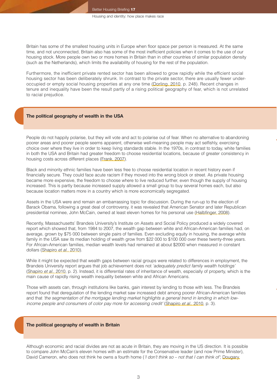Britain has some of the smallest housing units in Europe when floor space per person is measured. At the same time, and not unconnected, Britain also has some of the most inefficient policies when it comes to the use of our housing stock. More people own two or more homes in Britain than in other countries of similar population density (such as the Netherlands), which limits the availability of housing for the rest of the population.

Furthermore, the inefficient private rented sector has been allowed to grow rapidly while the efficient social housing sector has been deliberately shrunk. In contrast to the private sector, there are usually fewer underoccupied or empty social housing properties at any one time (Dorling, 2010, p. 248). Recent changes in tenure and inequality have been the result partly of a rising political geography of fear, which is not unrelated to racial prejudice.

#### **The political geography of wealth in the USA**

People do not happily polarise, but they will vote and act to polarise out of fear. When no alternative to abandoning poorer areas and poorer people seems apparent, otherwise well-meaning people may act selfishly, exercising choice over where they live in order to keep living standards stable. In the 1970s, in contrast to today, white families in both the USA and Britain had greater freedom to choose residential locations, because of greater consistency in housing costs across different places (Frank, 2007).

Black and minority ethnic families have been less free to choose residential location in recent history even if financially secure. They could face acute racism if they moved into the wrong block or street. As private housing became more expensive, the freedom to choose where to live reduced further, even though the supply of housing increased. This is partly because increased supply allowed a small group to buy several homes each, but also because location matters more in a country which is more economically segregated.

Assets in the USA were and remain an embarrassing topic for discussion. During the run-up to the election of Barack Obama, following a great deal of controversy, it was revealed that American Senator and later Republican presidential nominee, John McCain, owned at least eleven homes for his personal use (Halbfinger, 2008).

Recently, Massachusetts' Brandeis University's Institute on Assets and Social Policy produced a widely covered report which showed that, from 1984 to 2007, the wealth gap between white and African-American families had, on average, grown by \$75 000 between single pairs of families. Even excluding equity in housing, the average white family in the USA saw its median holding of wealth grow from \$22 000 to \$100 000 over these twenty-three years. For African-American families, median wealth levels had remained at about \$2000 when measured in constant dollars (Shapiro *et al*., 2010).

While it might be expected that wealth gaps between racial groups were related to differences in employment, the Brandeis University report argues that job achievement does not *'adequately predict family wealth holdings'* (Shapiro *et al*., 2010, p. 2). Instead, it is differential rates of inheritance of wealth, especially of property, which is the main cause of rapidly rising wealth inequality between white and African Americans.

Those with assets can, through institutions like banks, gain interest by lending to those with less. The Brandeis report found that deregulation of the lending market saw increased debt among poorer African-American families and that *'the segmentation of the mortgage lending market highlights a general trend in lending in which lowincome people and consumers of color pay more for accessing credit'* (Shapiro *et al*., 2010, p. 3).

#### **The political geography of wealth in Britain**

Although economic and racial divides are not as acute in Britain, they are moving in the US direction. It is possible to compare John McCain's eleven homes with an estimate for the Conservative leader (and now Prime Minister), David Cameron, who does not think he owns a fourth home (*'I don't think so – not that I can think of'*; Dougary,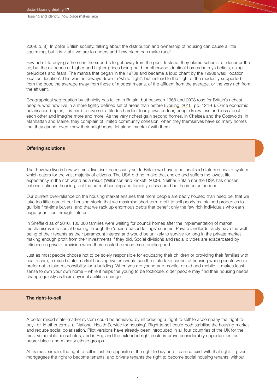2009, p. 8). In polite British society, talking about the distribution and ownership of housing can cause a little squirming, but it is vital if we are to understand 'how place can make race'.

Few admit to buying a home in the suburbs to get away from the poor. Instead, they blame schools, or décor or the air, but the evidence of higher and higher prices being paid for otherwise identical homes betrays beliefs, rising prejudices and fears. The mantra that began in the 1970s and became a loud chant by the 1990s was: 'location, location, location'. This was not always down to 'white flight', but instead to the flight of the modestly supported from the poor, the average away from those of modest means, of the affluent from the average, or the very rich from the affluent.

Geographical segregation by ethnicity has fallen in Britain, but between 1968 and 2008 rose for Britain's richest people, who now live in a more tightly defined set of areas than before (Dorling, 2010, pp. 124–6). Once economic polarisation begins, it is hard to reverse: attitudes harden, fear grows on fear, people know less and less about each other and imagine more and more. As the very richest gain second homes, in Chelsea and the Cotswolds, in Manhattan and Maine, they complain of limited community cohesion, when they themselves have so many homes that they cannot even know their neighbours, let alone 'muck in' with them.

## **Offering solutions**

That how we live is how we must live, isn't necessarily so. In Britain we have a nationalised state-run health system which caters for the vast majority of citizens. The USA did not make that choice and suffers the lowest life expectancy in the rich world as a result (Wilkinson and Pickett, 2009). Neither Britain nor the USA has chosen nationalisation in housing, but the current housing and liquidity crisis could be the impetus needed.

Our current over-reliance on the housing market ensures that more people are badly housed than need be, that we take too little care of our housing stock, that we maximise short-term profit to sell poorly maintained properties to gullible first-time buyers, and that we rack up enormous debts that benefit only the few rich individuals who earn huge quantities through 'interest'.

In Sheffield as of 2010, 100 000 families were waiting for council homes after the implementation of market mechanisms into social housing through the 'choice-based lettings' scheme. Private landlords rarely have the wellbeing of their tenants as their paramount interest and would be unlikely to survive for long in the private market making enough profit from their investments if they did. Social divisions and racial divides are exacerbated by reliance on private provision when there could be much more public good.

Just as most people choose not to be solely responsible for educating their children or providing their families with health care, a mixed state–market housing system would see the state take control of housing when people would prefer not to take responsibility for a building. When you are young and mobile, or old and mobile, it makes least sense to own your own home – while it helps the young to be footloose, older people may find their housing needs change quickly as their physical abilities change.

#### **The right-to-sell**

A better mixed state–market system could be achieved by introducing a 'right-to-sell' to accompany the 'right-tobuy', or, in other terms, a 'National Health Service for housing'. Right-to-sell could both stabilise the housing market and reduce social polarisation. Pilot versions have already been introduced in all four countries of the UK for the most vulnerable households, and in England the extended right could improve considerably opportunities for poorer black and minority ethnic groups.

At its most simple, the right-to-sell is just the opposite of the right-to-buy and it can co-exist with that right. It gives mortgagees the right to become tenants, and private tenants the right to become social housing tenants, without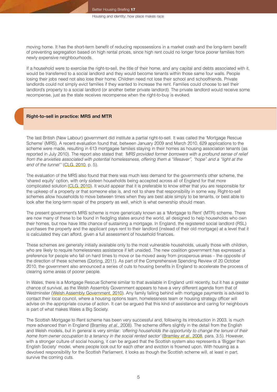moving home. It has the short-term benefit of reducing repossessions in a market crash and the long-term benefit of preventing segregation based on high rental prices, since high rent could no longer force poorer families from newly expensive neighbourhoods.

If a household were to exercise the right-to-sell, the title of their home, and any capital and debts associated with it, would be transferred to a social landlord and they would become tenants within those same four walls. People losing their jobs need not also lose their home. Children need not lose their school and schoolfriends. Private landlords could not simply evict families if they wanted to increase the rent. Families could choose to sell their landlord's property to a social landlord (or another better private landlord). The private landlord would receive some recompense, just as the state receives recompense when the right-to-buy is evoked.

### **Right-to-sell in practice: MRS and MTR**

The last British (New Labour) government did institute a partial right-to-sell. It was called the 'Mortgage Rescue Scheme' (MRS). A recent evaluation found that, between January 2009 and March 2010, 629 applications to the scheme were made, resulting in 613 mortgagee families staying in their homes as housing association tenants (as reported in July 2010). The report also stated that: *'MRS provided former borrowers with a profound sense of relief* from the anxieties associated with potential homelessness, offering them a "lifesaver", "hope" and a "light at the *end of the tunnel"'* (CLG, 2010, p. 5).

The evaluation of the MRS also found that there was much less demand for the government's other scheme, the 'shared equity' option, with only sixteen households being accepted across all of England for that more complicated solution (CLG, 2010). It would appear that it is preferable to know either that you are responsible for the upkeep of a property or that someone else is, and not to share that responsibility in some way. Right-to-sell schemes allow households to move between times when they are best able simply to be tenants, or best able to look after the long-term repair of the property as well, which is what ownership should mean.

The present government's MRS scheme is more generically known as a 'Mortgage to Rent' (MTR) scheme. There are now many of these to be found in fledgling states around the world, all designed to help households who own their homes, but now have little chance of sustaining a mortgage. In England, the registered social landlord (RSL) purchases the property and the applicant pays rent to their landlord (instead of their old mortgage) at a level that it is calculated they can afford, given a full assessment of household finances.

These schemes are generally initially available only to the most vulnerable households, usually those with children, who are likely to require homelessness assistance if left unaided. The new coalition government has expressed a preference for people who fall on hard times to move or be moved away from prosperous areas – the opposite of the direction of these schemes (Dorling, 2011). As part of the Comprehensive Spending Review of 20 October 2010, the government also announced a series of cuts to housing benefits in England to accelerate the process of clearing some areas of poorer people.

In Wales, there is a Mortgage Rescue Scheme similar to that available in England until recently, but it has a greater chance of survival, as the Welsh Assembly Government appears to have a very different agenda from that of Westminster (Welsh Assembly Government, 2010). Any family falling behind with mortgage payments is advised to contact their local council, where a housing options team, homelessness team or housing strategy officer will advise on the appropriate course of action. It can be argued that this kind of assistance and caring for neighbours is part of what makes Wales a Big Society.

The Scottish Mortgage to Rent scheme has been very successful and, following its introduction in 2003, is much more advanced than in England (Bramley *et al*., 2008). The scheme differs slightly in the detail from the English and Welsh models, but in general is very similar: *'offering households the opportunity to change the tenure of their home from owner occupation to a tenancy in the social rented sector'* (Bramley *et al*., 2008, para. 3.5). However, with a stronger culture of social housing, it can be argued that the Scottish system also represents a 'Bigger than English Society' model, where people look out for each other and eviction is frowned upon. With housing as a devolved responsibility for the Scottish Parliament, it looks as though the Scottish scheme will, at least in part, survive the coming cuts.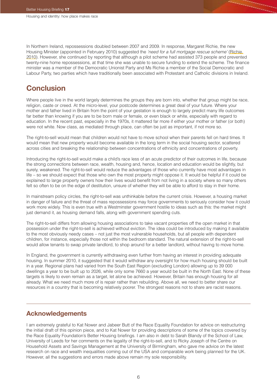In Northern Ireland, repossessions doubled between 2007 and 2009. In response, Margaret Richie, the new Housing Minister (appointed in February 2010) suggested the *'need for a full mortgage rescue scheme'* (Richie, 2010). However, she continued by reporting that although a pilot scheme had assisted 373 people and prevented twenty-nine home repossessions, at that time she was unable to secure funding to extend the scheme. The finance minister was a member of the Democratic Unionist Party and Ms Richie a member of the Social Democratic and Labour Party, two parties which have traditionally been associated with Protestant and Catholic divisions in Ireland.

# **Conclusion**

Where people live in the world largely determines the groups they are born into, whether that group might be race, religion, caste or creed. At the micro-level, your postcode determines a great deal of your future. Where your mother and father lived in Britain from the point of your gestation is enough to largely predict many life outcomes far better than knowing if you are to be born male or female, or even black or white, especially with regard to education. In the recent past, especially in the 1970s, it mattered far more if either your mother or father (or both) were not white. Now class, as mediated through place, can often be just as important, if not more so.

The right-to-sell would mean that children would not have to move school when their parents fell on hard times. It would mean that new property would become available in the long term in the social housing sector, scattered across cities and breaking the relationship between concentrations of ethnicity and concentrations of poverty.

Introducing the right-to-sell would make a child's race less of an acute predictor of their outcomes in life, because the strong connections between race, wealth, housing and, hence, location and education would be slightly, but surely, weakened. The right-to-sell would reduce the advantages of those who currently have most advantages in life – so we should expect that those who own the most property might oppose it. It would be helpful if it could be explained to large property owners how their lives would benefit from not living in a society where so many others felt so often to be on the edge of destitution, unsure of whether they will be able to afford to stay in their home.

In mainstream policy circles, the right-to-sell was unthinkable before the current crisis. However, a housing market in danger of failure and the threat of mass repossessions may force governments to seriously consider how it could work more widely. This is even true with a Westminster government hostile to ideas such as this: the market might just demand it, as housing demand falls, along with government spending cuts.

The right-to-sell differs from allowing housing associations to take vacant properties off the open market in that possession under the right-to-sell is achieved without eviction. The idea could be introduced by making it available to the most obviously needy cases – not just the most vulnerable households, but all people with dependent children, for instance, especially those not within the bedroom standard. The natural extension of the right-to-sell would allow tenants to swap private landlord, to shop around for a better landlord, without having to move home.

In England, the government is currently withdrawing even further from having an interest in providing adequate housing. In summer 2010, it suggested that it would withdraw any oversight for how much housing should be built in a year. Regional plans had varied from the South East Region (excluding London) allowing up to 39 000 dwellings a year to be built up to 2026, while only some 7660 a year would be built in the North East. None of these targets is likely to even remain as a target, let alone be achieved. However, Britain has enough housing for all already. What we need much more of is repair rather than rebuilding. Above all, we need to better share our resources in a country that is becoming relatively poorer. The strongest reasons not to share are racist reasons.

# **Acknowledgements**

I am extremely grateful to Kat Nower and Jabeer Butt of the Race Equality Foundation for advice on restructuring the initial draft of this opinion piece, and to Kat Nower for providing descriptions of some of the topics covered by the Race Equality Foundation's Better Housing briefings. I am also in debt to Sarah Blandy of the School of Law, University of Leeds for her comments on the legality of the right-to-sell, and to Ricky Joseph of the Centre on Household Assets and Savings Management at the University of Birmingham, who gave me advice on the latest research on race and wealth inequalities coming out of the USA and comparable work being planned for the UK. However, all the suggestions and errors made above remain my sole responsibility.